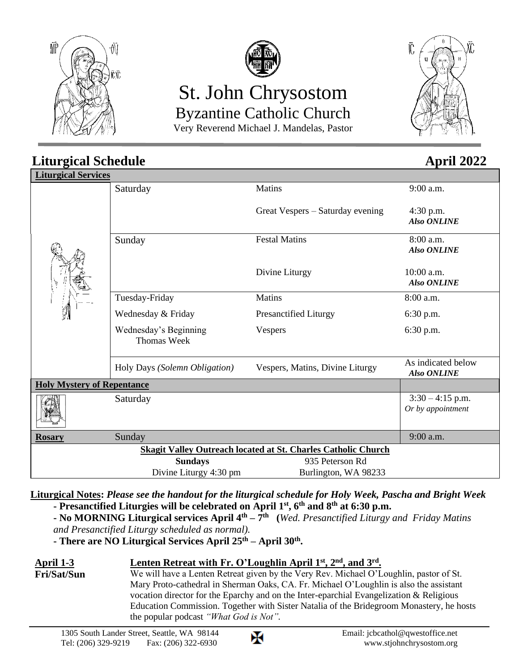



# St. John Chrysostom Byzantine Catholic Church

Very Reverend Michael J. Mandelas, Pastor



#### **Liturgical Schedule April** 2022 **Liturgical Services** Saturday Matins Great Vespers – Saturday evening 9:00 a.m. 4:30 p.m.  *Also ONLINE* Sunday Festal Matins Divine Liturgy 8:00 a.m.  *Also ONLINE* 10:00 a.m.  *Also ONLINE* Tuesday-Friday Wednesday & Friday Wednesday's Beginning Thomas Week Matins Presanctified Liturgy Vespers 8:00 a.m. 6:30 p.m. 6:30 p.m. Holy Days *(Solemn Obligation)* Vespers, Matins, Divine Liturgy As indicated below  *Also ONLINE* **Holy Mystery of Repentance** Saturday  $3:30 - 4:15$  p.m. *Or by appointment* **Rosary** Sunday 9:00 a.m. **Skagit Valley Outreach located at St. Charles Catholic Church Sundays** 935 Peterson Rd Divine Liturgy 4:30 pm Burlington, WA 98233

**Liturgical Notes:** *Please see the handout for the liturgical schedule for Holy Week, Pascha and Bright Week*

- **- Presanctified Liturgies will be celebrated on April 1st , 6 th and 8th at 6:30 p.m.**
- **- No MORNING Liturgical services April 4th – 7 th (***Wed. Presanctified Liturgy and Friday Matins*
- *and Presanctified Liturgy scheduled as normal).*
- **- There are NO Liturgical Services April 25th – April 30th .**

| April 1-3   | Lenten Retreat with Fr. O'Loughlin April $1st$ , $2nd$ , and $3rd$ .                     |
|-------------|------------------------------------------------------------------------------------------|
| Fri/Sat/Sun | We will have a Lenten Retreat given by the Very Rev. Michael O'Loughlin, pastor of St.   |
|             | Mary Proto-cathedral in Sherman Oaks, CA. Fr. Michael O'Loughlin is also the assistant   |
|             | vocation director for the Eparchy and on the Inter-eparchial Evangelization & Religious  |
|             | Education Commission. Together with Sister Natalia of the Bridegroom Monastery, he hosts |
|             | the popular podcast "What God is Not".                                                   |

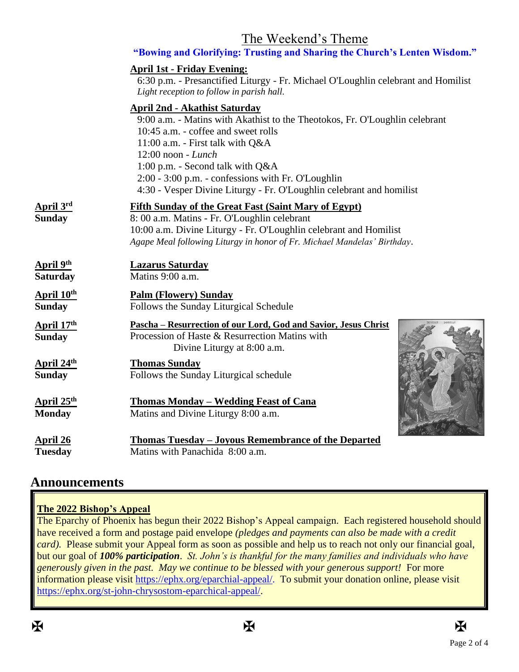# The Weekend's Theme

|                                               | "Bowing and Glorifying: Trusting and Sharing the Church's Lenten Wisdom."                                                                                                                                                                                                                                                                                                              |
|-----------------------------------------------|----------------------------------------------------------------------------------------------------------------------------------------------------------------------------------------------------------------------------------------------------------------------------------------------------------------------------------------------------------------------------------------|
|                                               | <b>April 1st - Friday Evening:</b><br>6:30 p.m. - Presanctified Liturgy - Fr. Michael O'Loughlin celebrant and Homilist<br>Light reception to follow in parish hall.                                                                                                                                                                                                                   |
|                                               | <b>April 2nd - Akathist Saturday</b><br>9:00 a.m. - Matins with Akathist to the Theotokos, Fr. O'Loughlin celebrant<br>10:45 a.m. - coffee and sweet rolls<br>11:00 a.m. - First talk with Q&A<br>12:00 noon - Lunch<br>1:00 p.m. - Second talk with Q&A<br>2:00 - 3:00 p.m. - confessions with Fr. O'Loughlin<br>4:30 - Vesper Divine Liturgy - Fr. O'Loughlin celebrant and homilist |
| April 3rd<br>Sunday                           | <b>Fifth Sunday of the Great Fast (Saint Mary of Egypt)</b><br>8: 00 a.m. Matins - Fr. O'Loughlin celebrant<br>10:00 a.m. Divine Liturgy - Fr. O'Loughlin celebrant and Homilist<br>Agape Meal following Liturgy in honor of Fr. Michael Mandelas' Birthday.                                                                                                                           |
| <u>April 9<sup>th</sup></u><br>Saturday       | <b>Lazarus Saturday</b><br>Matins 9:00 a.m.                                                                                                                                                                                                                                                                                                                                            |
| <u>April 10<sup>th</sup></u><br><b>Sunday</b> | <b>Palm (Flowery) Sunday</b><br>Follows the Sunday Liturgical Schedule                                                                                                                                                                                                                                                                                                                 |
| <u>April 17<sup>th</sup></u><br><b>Sunday</b> | помирал<br><u> Pascha – Resurrection of our Lord, God and Savior, Jesus Christ</u><br>Procession of Haste & Resurrection Matins with<br>Divine Liturgy at 8:00 a.m.                                                                                                                                                                                                                    |
| <u>April 24<sup>th</sup></u><br>Sunday        | <b>Thomas Sunday</b><br>Follows the Sunday Liturgical schedule                                                                                                                                                                                                                                                                                                                         |
| <u>April 25<sup>th</sup></u><br><b>Monday</b> | <b>Thomas Monday - Wedding Feast of Cana</b><br>Matins and Divine Liturgy 8:00 a.m.                                                                                                                                                                                                                                                                                                    |
| <u>April 26</u><br><b>Tuesday</b>             | Thomas Tuesday - Joyous Remembrance of the Departed<br>Matins with Panachida 8:00 a.m.                                                                                                                                                                                                                                                                                                 |

# **Announcements**

#### **The 2022 Bishop's Appeal**

The Eparchy of Phoenix has begun their 2022 Bishop's Appeal campaign. Each registered household should have received a form and postage paid envelope *(pledges and payments can also be made with a credit card*). Please submit your Appeal form as soon as possible and help us to reach not only our financial goal, but our goal of *100% participation*. *St. John's is thankful for the many families and individuals who have generously given in the past. May we continue to be blessed with your generous support!* For more information please visit [https://ephx.org/eparchial-appeal/.](https://ephx.org/eparchial-appeal/) To submit your donation online, please visit [https://ephx.org/st-john-chrysostom-eparchical-appeal/.](https://ephx.org/st-john-chrysostom-eparchical-appeal/)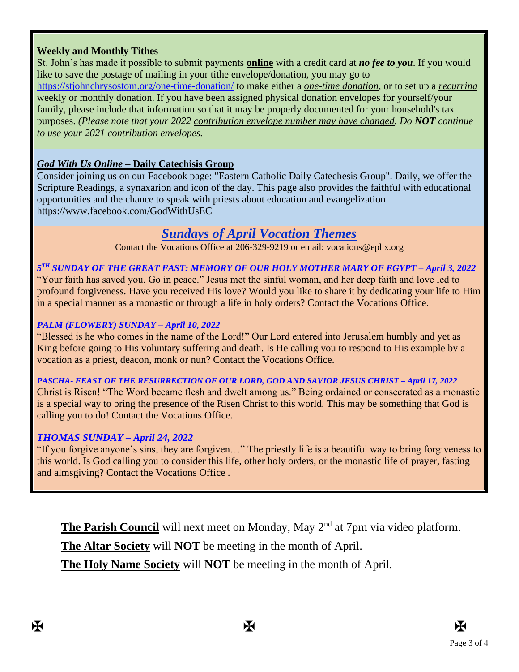### **Weekly and Monthly Tithes**

St. John's has made it possible to submit payments **online** with a credit card at *no fee to you*. If you would like to save the postage of mailing in your tithe envelope/donation, you may go to <https://stjohnchrysostom.org/one-time-donation/> to make either a *one-time donation*, or to set up a *recurring* weekly or monthly donation. If you have been assigned physical donation envelopes for yourself/your family, please include that information so that it may be properly documented for your household's tax purposes. *(Please note that your 2022 contribution envelope number may have changed. Do NOT continue to use your 2021 contribution envelopes.*

### *God With Us Online* **– Daily Catechisis Group**

Consider joining us on our Facebook page: "Eastern Catholic Daily Catechesis Group". Daily, we offer the Scripture Readings, a synaxarion and icon of the day. This page also provides the faithful with educational opportunities and the chance to speak with priests about education and evangelization. https://www.facebook.com/GodWithUsEC

# *Sundays of April Vocation Themes*

Contact the Vocations Office at 206-329-9219 or email: vocations@ephx.org

#### *5 TH SUNDAY OF THE GREAT FAST: MEMORY OF OUR HOLY MOTHER MARY OF EGYPT – April 3, 2022*

"Your faith has saved you. Go in peace." Jesus met the sinful woman, and her deep faith and love led to profound forgiveness. Have you received His love? Would you like to share it by dedicating your life to Him in a special manner as a monastic or through a life in holy orders? Contact the Vocations Office.

#### *PALM (FLOWERY) SUNDAY – April 10, 2022*

"Blessed is he who comes in the name of the Lord!" Our Lord entered into Jerusalem humbly and yet as King before going to His voluntary suffering and death. Is He calling you to respond to His example by a vocation as a priest, deacon, monk or nun? Contact the Vocations Office.

*PASCHA- FEAST OF THE RESURRECTION OF OUR LORD, GOD AND SAVIOR JESUS CHRIST – April 17, 2022* Christ is Risen! "The Word became flesh and dwelt among us." Being ordained or consecrated as a monastic is a special way to bring the presence of the Risen Christ to this world. This may be something that God is calling you to do! Contact the Vocations Office.

#### *THOMAS SUNDAY – April 24, 2022*

"If you forgive anyone's sins, they are forgiven…" The priestly life is a beautiful way to bring forgiveness to this world. Is God calling you to consider this life, other holy orders, or the monastic life of prayer, fasting and almsgiving? Contact the Vocations Office .

**The Parish Council** will next meet on Monday, May 2<sup>nd</sup> at 7pm via video platform.

**The Altar Society** will **NOT** be meeting in the month of April.

**The Holy Name Society** will **NOT** be meeting in the month of April.